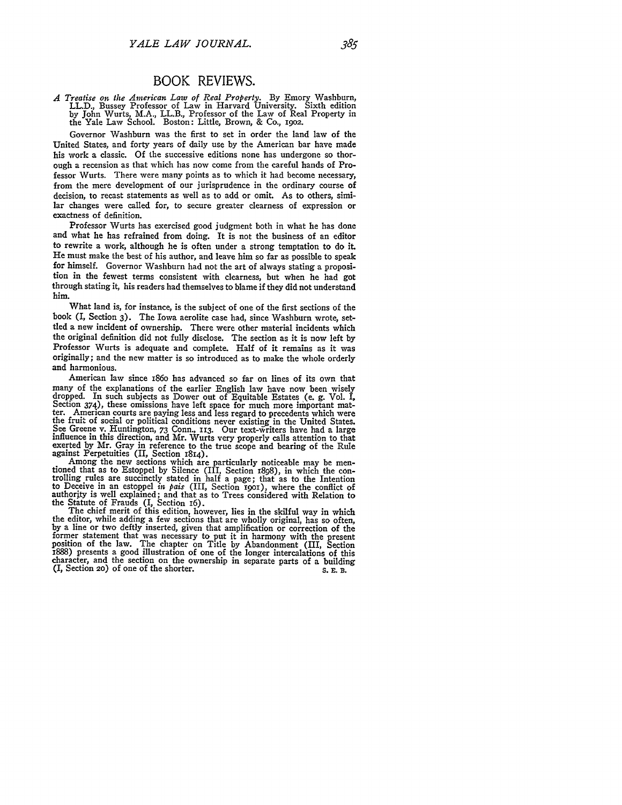## BOOK REVIEWS.

*A Treatise on the American Law of Real Property.* By Emory Washburn, LL.D., Bussey Professor of Law in Harvard University. Sixth edition by John Wurts, M.A., LL.B., Professor of the Law of Real Property in the Yale Law School. Boston: Little, Brown, & Co., **19o2.**

Governor Washburn was the first to set in order the land law of the United States, and forty years of daily use by the American bar have made his work a classic. Of the successive editions none has undergone so thorough a recension as that which has now come from the careful hands of Professor Wurts. There were many points as to which it had become necessary, from the mere development of our jurisprudence in the ordinary course of decision, to recast statements as well as to add or omit. As to others, similar changes were called for, to secure greater clearness of expression or exactness of definition.

Professor Wurts has exercised good judgment both in what he has done and what he has refrained from doing. It is not the business of an editor to rewrite a work, although he is often under a strong temptation to do it. He must make the best of his author, and leave him so far as possible to speak for himself. Governor Washburn had not the art of always stating a proposition in the fewest terms consistent with clearness, but when he had got through stating it, his readers had themselves to blame if they did not understand him.

What land is, for instance, is the subject of one of the first sections of the book *(I,* Section 3). The Iowa aerolite case had, since Washburn wrote, settled a new incident of ownership. There were other material incidents which the original definition did not fully disclose. The section as it is now left by Professor Wurts is adequate and complete. Half of it remains as it was originally; and the new matter is so introduced as to make the whole orderly and harmonious.

American law since i86o has advanced so far on lines of its own that many of the explanations of the earlier English law have now been wisely dropped. In such subjects as Dower out of Equitable Estates (e. g. Vol. I, Section 374), these omissions have left space for much more important matt ter. American courts are paying less and less regard to precedents which were the fruit of social or political conditions never existing in the United States. See Greene v. Huntington, 73 Conn., **113.** Our text-writers have had a large influence in this direction, and Mr. Wurts very properly calls attention to that exerted by Mr. Gray in reference to the true scope and bearing of the Rule against Perpetuities (II, Section 1814).

against Perpetuities (II, Section 1814).<br>Among the new sections which are particularly noticeable may be men-<br>tioned that as to Estoppel by Silence (III, Section 1898), in which the con-<br>trolling rules are succinctly stat authority is well explained; and that as to Trees considered with Relation to the Statute of Frauds (I, Section 16). The chief merit of this edition, however, lies in the skilful way in which

the editor, while adding a few sections that are wholly original, has so often, by a line or two deftly inserted, given that amplification or correction of the former statement that was necessary to put it in harmony with the present position of the law. The chapter on Title by Abandonment (III, Section 1888) presents a good illustration of one of the longer intercalations of thi character, and the section on the ownership in separate parts of a building (I, Section 20) of one of the shorter. S. E. B.